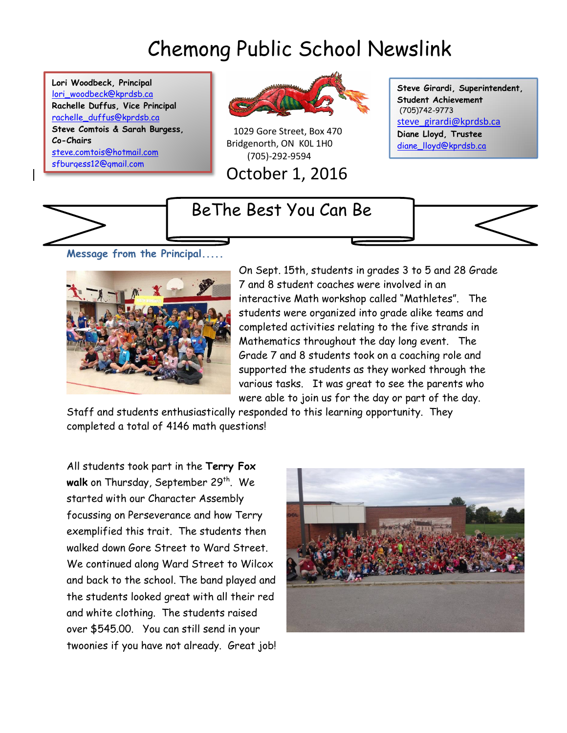# Chemong Public School Newslink

**Lori Woodbeck, Principal** [lori\\_woodbeck@kprdsb.ca](mailto:lori_woodbeck@kprdsb.ca) **Rachelle Duffus, Vice Principal** [rachelle\\_duffus@kprdsb.ca](mailto:rachelle_duffus@kprdsb.ca) **Steve Comtois & Sarah Burgess, Co-Chairs** [steve.comtois@hotmail.com](mailto:steve.comtois@hotmail.com) [sfburgess12@gmail.com](mailto:sfburgess12@gmail.com)



 1029 Gore Street, Box 470 Bridgenorth, ON K0L 1H0 (705)-292-9594

October 1, 2016

**Steve Girardi, Superintendent, Student Achievement** (705)742-9773 [steve\\_girardi@kprdsb.ca](mailto:steve_girardi@kprdsb.ca) **Diane Lloyd, Trustee** [diane\\_lloyd@kprdsb.ca](mailto:diane_lloyd@kprdsb.ca)

# BeThe Best You Can Be



**Message from the Principal.....** 



On Sept. 15th, students in grades 3 to 5 and 28 Grade 7 and 8 student coaches were involved in an interactive Math workshop called "Mathletes". The students were organized into grade alike teams and completed activities relating to the five strands in Mathematics throughout the day long event. The Grade 7 and 8 students took on a coaching role and supported the students as they worked through the various tasks. It was great to see the parents who were able to join us for the day or part of the day.

Staff and students enthusiastically responded to this learning opportunity. They completed a total of 4146 math questions!

All students took part in the **Terry Fox**  walk on Thursday, September 29<sup>th</sup>. We started with our Character Assembly focussing on Perseverance and how Terry exemplified this trait. The students then walked down Gore Street to Ward Street. We continued along Ward Street to Wilcox and back to the school. The band played and the students looked great with all their red and white clothing. The students raised over \$545.00. You can still send in your twoonies if you have not already. Great job!

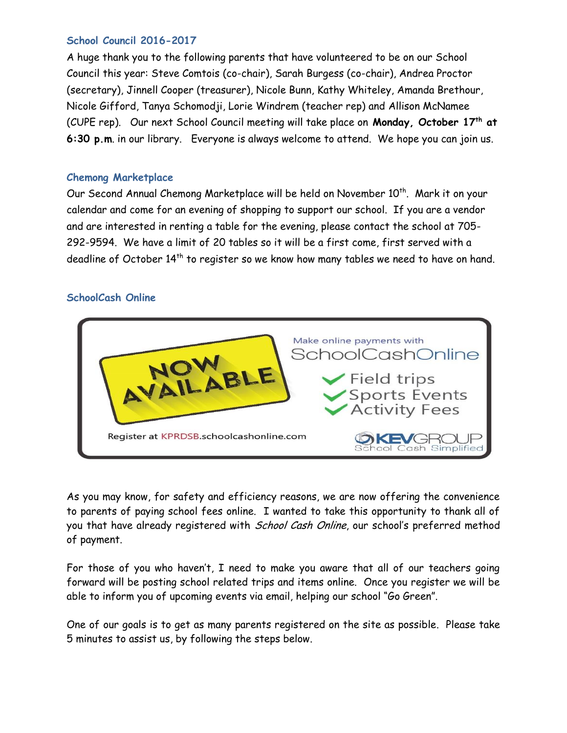#### **School Council 2016-2017**

A huge thank you to the following parents that have volunteered to be on our School Council this year: Steve Comtois (co-chair), Sarah Burgess (co-chair), Andrea Proctor (secretary), Jinnell Cooper (treasurer), Nicole Bunn, Kathy Whiteley, Amanda Brethour, Nicole Gifford, Tanya Schomodji, Lorie Windrem (teacher rep) and Allison McNamee (CUPE rep). Our next School Council meeting will take place on **Monday, October 17th at 6:30 p.m**. in our library. Everyone is always welcome to attend. We hope you can join us.

#### **Chemong Marketplace**

Our Second Annual Chemong Marketplace will be held on November 10<sup>th</sup>. Mark it on your calendar and come for an evening of shopping to support our school. If you are a vendor and are interested in renting a table for the evening, please contact the school at 705- 292-9594. We have a limit of 20 tables so it will be a first come, first served with a deadline of October 14<sup>th</sup> to register so we know how many tables we need to have on hand.

# **SchoolCash Online**



As you may know, for safety and efficiency reasons, we are now offering the convenience to parents of paying school fees online. I wanted to take this opportunity to thank all of you that have already registered with *School Cash Online*, our school's preferred method of payment.

For those of you who haven't, I need to make you aware that all of our teachers going forward will be posting school related trips and items online. Once you register we will be able to inform you of upcoming events via email, helping our school "Go Green".

One of our goals is to get as many parents registered on the site as possible. Please take 5 minutes to assist us, by following the steps below.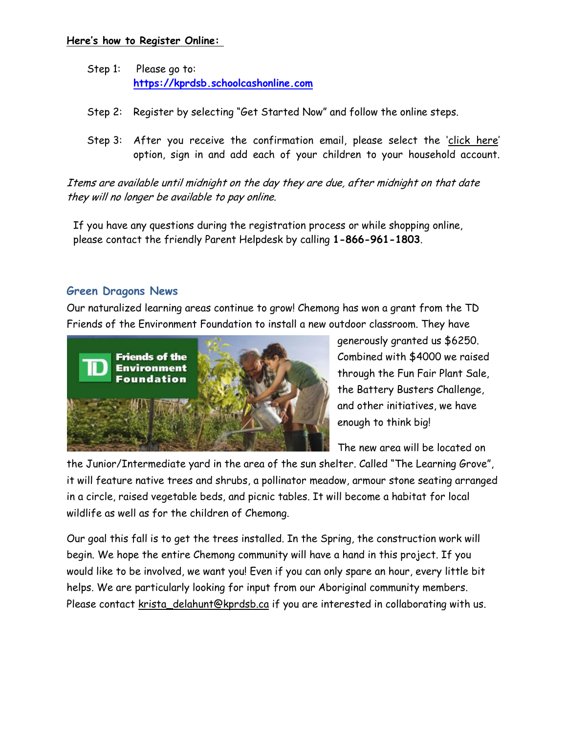#### **Here's how to Register Online:**

- Step 1: Please go to: **[https://kprdsb.schoolcashonline.com](https://kprdsb.schoolcashonline.com/)**
- Step 2: Register by selecting "Get Started Now" and follow the online steps.
- Step 3: After you receive the confirmation email, please select the 'click here' option, sign in and add each of your children to your household account.

Items are available until midnight on the day they are due, after midnight on that date they will no longer be available to pay online.

If you have any questions during the registration process or while shopping online, please contact the friendly Parent Helpdesk by calling **1-866-961-1803**.

#### **Green Dragons News**

Our naturalized learning areas continue to grow! Chemong has won a grant from the TD Friends of the Environment Foundation to install a new outdoor classroom. They have



generously granted us \$6250. Combined with \$4000 we raised through the Fun Fair Plant Sale, the Battery Busters Challenge, and other initiatives, we have enough to think big!

The new area will be located on

the Junior/Intermediate yard in the area of the sun shelter. Called "The Learning Grove", it will feature native trees and shrubs, a pollinator meadow, armour stone seating arranged in a circle, raised vegetable beds, and picnic tables. It will become a habitat for local wildlife as well as for the children of Chemong.

Our goal this fall is to get the trees installed. In the Spring, the construction work will begin. We hope the entire Chemong community will have a hand in this project. If you would like to be involved, we want you! Even if you can only spare an hour, every little bit helps. We are particularly looking for input from our Aboriginal community members. Please contact [krista\\_delahunt@kprdsb.ca](mailto:krista_delahunt@kprdsb.ca) if you are interested in collaborating with us.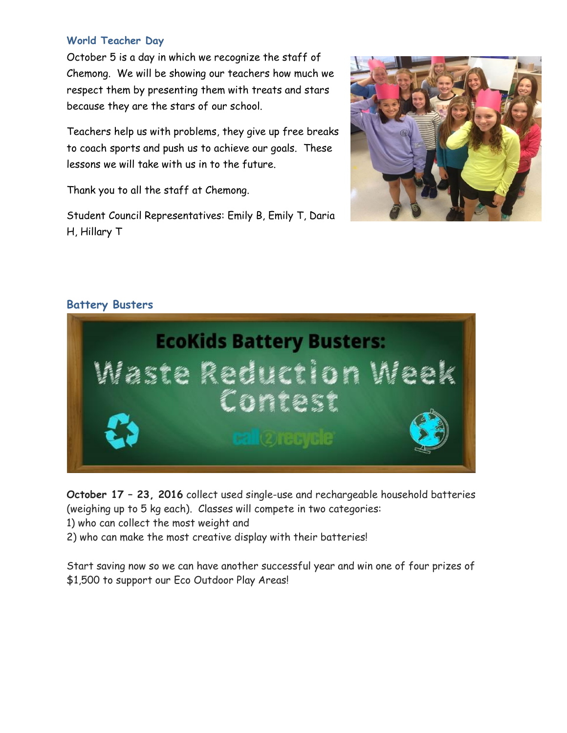## **World Teacher Day**

October 5 is a day in which we recognize the staff of Chemong. We will be showing our teachers how much we respect them by presenting them with treats and stars because they are the stars of our school.

Teachers help us with problems, they give up free breaks to coach sports and push us to achieve our goals. These lessons we will take with us in to the future.

Thank you to all the staff at Chemong.

Student Council Representatives: Emily B, Emily T, Daria H, Hillary T



## **Battery Busters**



**October 17 – 23, 2016** collect used single-use and rechargeable household batteries (weighing up to 5 kg each). Classes will compete in two categories:

1) who can collect the most weight and

2) who can make the most creative display with their batteries!

Start saving now so we can have another successful year and win one of four prizes of \$1,500 to support our Eco Outdoor Play Areas!